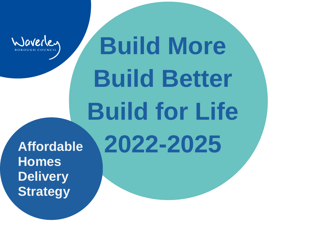

# **Build More Build Better Build for Life 2022-2025**

**Affordable Homes Delivery Strategy**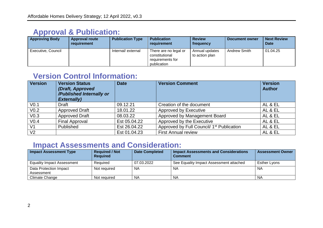## **Approval & Publication:**

| <b>Approving Body</b> | <b>Approval route</b><br>requirement | <b>Publication Type</b> | <b>Publication</b><br>requirement                                          | <b>Review</b><br>frequency       | Document owner | <b>Next Review</b><br><b>Date</b> |
|-----------------------|--------------------------------------|-------------------------|----------------------------------------------------------------------------|----------------------------------|----------------|-----------------------------------|
| Executive, Council    |                                      | Internal/external       | There are no legal or<br>constitutional<br>requirements for<br>publication | Annual updates<br>to action plan | Andrew Smith   | 01.04.25                          |

# **Version Control Information:**

| <b>Version</b>   | <b>Version Status</b><br>(Draft, Approved<br>/Published Internally or<br><b>Externally)</b> | <b>Date</b>  | <b>Version Comment</b>                                | <b>Version</b><br><b>Author</b> |
|------------------|---------------------------------------------------------------------------------------------|--------------|-------------------------------------------------------|---------------------------------|
| V <sub>0.1</sub> | Draft                                                                                       | 09.12.21     | Creation of the document                              | AL & EL                         |
| V <sub>0.2</sub> | <b>Approved Draft</b>                                                                       | 18.01.22     | Approved by Executive                                 | AL & EL                         |
| V <sub>0.3</sub> | <b>Approved Draft</b>                                                                       | 08.03.22     | Approved by Management Board                          | AL & EL                         |
| V <sub>0.4</sub> | <b>Final Approval</b>                                                                       | Est 05.04.22 | Approved by the Executive                             | AL & EL                         |
| V <sub>1</sub>   | Published                                                                                   | Est 26.04.22 | Approved by Full Council/ 1 <sup>st</sup> Publication | AL & EL                         |
| V <sub>2</sub>   |                                                                                             | Est 01.04.23 | <b>First Annual review</b>                            | AL & EL                         |

## **Impact Assessments and Consideration:**

| <b>Impact Assessment Type</b>        | <b>Required / Not</b><br><b>Required</b> | <b>Date Completed</b> | <b>Impact Assessments and Considerations</b><br><b>Comment</b> | <b>Assessment Owner</b> |
|--------------------------------------|------------------------------------------|-----------------------|----------------------------------------------------------------|-------------------------|
| <b>Equality Impact Assessment</b>    | Required                                 | 07.03.2022            | See Equality Impact Assessment attached                        | Esther Lyons            |
| Data Protection Impact<br>Assessment | Not required                             | <b>NA</b>             | ΝA                                                             | NA                      |
| Climate Change                       | Not required                             | NA                    | ΝA                                                             | NA                      |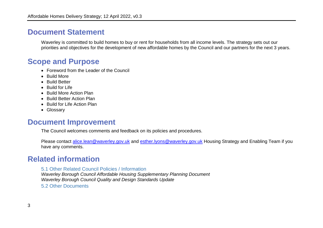## **Document Statement**

Waverley is committed to build homes to buy or rent for households from all income levels. The strategy sets out our priorities and objectives for the development of new affordable homes by the Council and our partners for the next 3 years.

## **Scope and Purpose**

- Foreword from the Leader of the Council
- Build More
- Build Better
- Build for Life
- Build More Action Plan
- Build Better Action Plan
- Build for Life Action Plan
- Glossary

## **Document Improvement**

The Council welcomes comments and feedback on its policies and procedures.

Please contact [alice.lean@waverley.gov.uk](mailto:alice.lean@waverley.gov.uk) and [esther.lyons@waverley.gov.uk](mailto:esther.lyons@waverley.gov.uk) Housing Strategy and Enabling Team if you have any comments.

## **Related information**

#### 5.1 Other Related Council Policies / Information

*Waverley Borough Council Affordable Housing Supplementary Planning Document Waverley Borough Council Quality and Design Standards Update*

5.2 Other Documents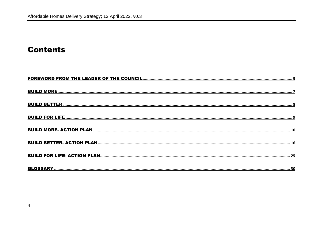## **Contents**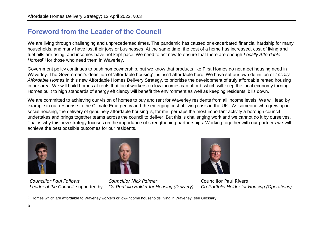### <span id="page-4-0"></span>**Foreword from the Leader of the Council**

We are living through challenging and unprecedented times. The pandemic has caused or exacerbated financial hardship for many households, and many have lost their jobs or businesses. At the same time, the cost of a home has increased, cost of living and fuel bills are rising, and incomes have not kept pace. We need to act now to ensure that there are enough *Locally Affordable Homes*<sup>[1]</sup> for those who need them in Waverley.

Government policy continues to push homeownership, but we know that products like First Homes do not meet housing need in Waverley. The Government's definition of 'affordable housing' just isn't affordable here. We have set our own definition of *Locally Affordable Homes* in this new Affordable Homes Delivery Strategy, to prioritise the development of truly affordable rented housing in our area. We will build homes at rents that local workers on low incomes can afford, which will keep the local economy turning. Homes built to high standards of energy efficiency will benefit the environment as well as keeping residents' bills down.

We are committed to achieving our vision of homes to buy and rent for Waverley residents from all income levels. We will lead by example in our response to the Climate Emergency and the emerging cost of living crisis in the UK. As someone who grew up in social housing, the delivery of genuinely affordable housing is, for me, perhaps the most important activity a borough council undertakes and brings together teams across the council to deliver. But this is challenging work and we cannot do it by ourselves. That is why this new strategy focuses on the importance of strengthening partnerships. Working together with our partners we will achieve the best possible outcomes for our residents.



*Councillor Paul Follows*



*Leader of the Council,* supported by: *Co-Portfolio Holder for Housing (Delivery) Councillor Nick Palmer*



Councillor Paul Rivers *Co-Portfolio Holder for Housing (Operations)*

 $\overline{a}$ [1] Homes which are affordable to Waverley workers or low-income households living in Waverley (see Glossary).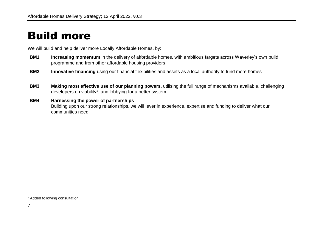# <span id="page-6-0"></span>Build more

We will build and help deliver more Locally Affordable Homes, by:

- **BM1 Increasing momentum** in the delivery of affordable homes, with ambitious targets across Waverley's own build programme and from other affordable housing providers
- **BM2 Innovative financing** using our financial flexibilities and assets as a local authority to fund more homes
- **BM3 Making most effective use of our planning powers**, utilising the full range of mechanisms available, challenging developers on viability<sup>1</sup>, and lobbying for a better system

#### **BM4 Harnessing the power of partnerships**

Building upon our strong relationships, we will lever in experience, expertise and funding to deliver what our communities need

<sup>&</sup>lt;sup>1</sup> Added following consultation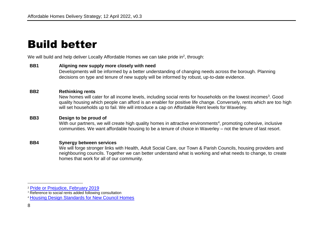# <span id="page-7-0"></span>Build better

We will build and help deliver Locally Affordable Homes we can take pride in<sup>2</sup>, through:

#### **BB1 Aligning new supply more closely with need**

Developments will be informed by a better understanding of changing needs across the borough. Planning decisions on type and tenure of new supply will be informed by robust, up-to-date evidence.

#### **BB2 Rethinking rents**

New homes will cater for all income levels, including social rents for households on the lowest incomes<sup>3</sup>. Good quality housing which people can afford is an enabler for positive life change. Conversely, rents which are too high will set households up to fail. We will introduce a cap on Affordable Rent levels for Waverley.

#### **BB3 Design to be proud of**

With our partners, we will create high quality homes in attractive environments<sup>4</sup>, promoting cohesive, inclusive communities. We want affordable housing to be a tenure of choice in Waverley – not the tenure of last resort.

#### **BB4 Synergy between services**

We will forge stronger links with Health, Adult Social Care, our Town & Parish Councils, housing providers and neighbouring councils. Together we can better understand what is working and what needs to change, to create homes that work for all of our community.

<sup>2</sup> [Pride or Prejudice, February 2019](https://modgov.waverley.gov.uk/documents/s28665/Item%207%20-%20Final%20report%20Council%20Housing%20Pride%20or%20Prejudice.pdf)

<sup>&</sup>lt;sup>3</sup> Reference to social rents added following consultation

<sup>4</sup> [Housing Design Standards for New Council Homes](https://modgov.waverley.gov.uk/documents/s24830/HDS%20review%20report%20exec.pdf)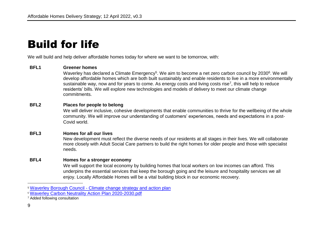# <span id="page-8-0"></span>Build for life

We will build and help deliver affordable homes today for where we want to be tomorrow, with:

#### **BFL1 Greener homes**

Waverley has declared a Climate Emergency<sup>5</sup>. We aim to become a net zero carbon council by 2030<sup>6</sup>. We will develop affordable homes which are both built sustainably and enable residents to live in a more environmentally sustainable way, now and for years to come. As energy costs and living costs rise<sup>7</sup>, this will help to reduce residents' bills. We will explore new technologies and models of delivery to meet our climate change commitments.

#### **BFL2 Places for people to belong**

We will deliver inclusive, cohesive developments that enable communities to thrive for the wellbeing of the whole community. We will improve our understanding of customers' experiences, needs and expectations in a post-Covid world.

#### **BFL3 Homes for all our lives**

New development must reflect the diverse needs of our residents at all stages in their lives. We will collaborate more closely with Adult Social Care partners to build the right homes for older people and those with specialist needs.

#### **BFL4 Homes for a stronger economy**

We will support the local economy by building homes that local workers on low incomes can afford. This underpins the essential services that keep the borough going and the leisure and hospitality services we all enjoy. Locally Affordable Homes will be a vital building block in our economic recovery.

<sup>5</sup> Waverley Borough Council - [Climate change strategy and action plan](https://www.waverley.gov.uk/Services/Environmental-concerns/Sustainability-and-conservation/Climate-change-strategy-and-action-plan)

<sup>6</sup> [Waverley Carbon Neutrality Action Plan 2020-2030.pdf](https://www.waverley.gov.uk/Portals/0/Documents/services/environmental-concerns/climate%20change/Waverley%20Carbon%20Neutrality%20Action%20Plan%202020-2030.pdf?ver=SpUdY9hngMRQOcVKybZ9xg%3D%3D#:~:text=In%202019%20Waverley%20Borough%20Council,acknowledging%20the%20urgency%20to%20act.&text=In%202015%20the%20council%27s%20carbon,of%20this%20action%20plan%20against.)

<sup>&</sup>lt;sup>7</sup> Added following consultation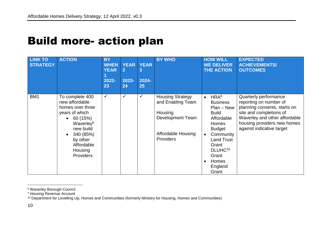# <span id="page-9-0"></span>Build more- action plan

| <b>LINK TO</b><br><b>STRATEGY</b> | <b>ACTION</b>                                                                                                                                                                                                | <b>BY</b><br><b>WHEN</b><br><b>YEAR</b><br>2022-<br>23 | <b>YEAR</b><br>$\overline{2}$<br>2023-<br>24 | <b>YEAR</b><br>3<br>2024-<br>25 | <b>BY WHO</b>                                                                                                                | <b>HOW WILL</b><br><b>WE DELIVER</b><br><b>THE ACTION</b>                                                                                                                                                                                            | <b>EXPECTED</b><br><b>ACHIEVEMENTS/</b><br><b>OUTCOMES</b>                                                                                                                                              |
|-----------------------------------|--------------------------------------------------------------------------------------------------------------------------------------------------------------------------------------------------------------|--------------------------------------------------------|----------------------------------------------|---------------------------------|------------------------------------------------------------------------------------------------------------------------------|------------------------------------------------------------------------------------------------------------------------------------------------------------------------------------------------------------------------------------------------------|---------------------------------------------------------------------------------------------------------------------------------------------------------------------------------------------------------|
| BM <sub>1</sub>                   | To complete 400<br>new affordable<br>homes over three<br>years of which<br>60 (15%)<br>$\bullet$<br>Waverley <sup>8</sup><br>new build<br>340 (85%)<br>by other<br>Affordable<br>Housing<br><b>Providers</b> | $\checkmark$                                           | ✓                                            | ✓                               | <b>Housing Strategy</b><br>and Enabling Team<br>Housing<br><b>Development Team</b><br>Affordable Housing<br><b>Providers</b> | HRA <sup>9</sup><br>$\bullet$<br><b>Business</b><br>$Plan - New$<br><b>Build</b><br>Affordable<br><b>Homes</b><br><b>Budget</b><br>Community<br>$\bullet$<br><b>Land Trust</b><br>Grant<br>DLUHC <sup>10</sup><br>Grant<br>Homes<br>England<br>Grant | Quarterly performance<br>reporting on number of<br>planning consents, starts on<br>site and completions of<br>Waverley and other affordable<br>housing providers new homes<br>against indicative target |

<sup>8</sup> Waverley Borough Council

<sup>9</sup> Housing Revenue Account

<sup>10</sup> Department for Levelling Up, Homes and Communities (formerly Ministry for Housing, Homes and Communities)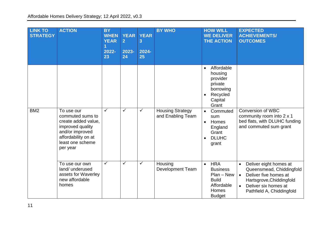| <b>LINK TO</b><br><b>STRATEGY</b> | <b>ACTION</b>                                                                                                     | <b>BY</b><br><b>WHEN</b><br><b>YEAR</b><br>2022-<br>23 | <b>YEAR</b><br>$\overline{2}$<br>2023-<br>24 | <b>YEAR</b><br>3<br>2024-<br>25 | <b>BY WHO</b>                                | <b>HOW WILL</b><br><b>WE DELIVER</b><br><b>THE ACTION</b>                                                                                           | <b>EXPECTED</b><br><b>ACHIEVEMENTS/</b><br><b>OUTCOMES</b>                                                                                                                                          |  |
|-----------------------------------|-------------------------------------------------------------------------------------------------------------------|--------------------------------------------------------|----------------------------------------------|---------------------------------|----------------------------------------------|-----------------------------------------------------------------------------------------------------------------------------------------------------|-----------------------------------------------------------------------------------------------------------------------------------------------------------------------------------------------------|--|
| BM <sub>2</sub>                   | To use our<br>commuted sums to                                                                                    | $\checkmark$                                           | $\checkmark$                                 | $\checkmark$                    | <b>Housing Strategy</b><br>and Enabling Team | Affordable<br>$\bullet$<br>housing<br>provider<br>private<br>borrowing<br>Recycled<br>$\bullet$<br>Capital<br>Grant<br>Commuted<br>$\bullet$<br>sum | <b>Conversion of WBC</b><br>community room into 2 x 1                                                                                                                                               |  |
|                                   | create added value,<br>improved quality<br>and/or improved<br>affordability on at<br>least one scheme<br>per year |                                                        |                                              |                                 |                                              | Homes<br>$\bullet$<br>England<br>Grant<br><b>DLUHC</b><br>$\bullet$<br>grant                                                                        | bed flats, with DLUHC funding<br>and commuted sum grant                                                                                                                                             |  |
|                                   | To use our own<br>land/ underused<br>assets for Waverley<br>new affordable<br>homes                               | $\checkmark$                                           | ✓                                            | ✓                               | Housing<br><b>Development Team</b>           | <b>HRA</b><br>$\bullet$<br><b>Business</b><br>$Plan - New$<br><b>Build</b><br>Affordable<br>Homes<br><b>Budget</b>                                  | Deliver eight homes at<br>$\bullet$<br>Queensmead, Chiddingfold<br>Deliver five homes at<br>$\bullet$<br>Hartsgrove, Chiddingfold<br>Deliver six homes at<br>$\bullet$<br>Pathfield A, Chiddingfold |  |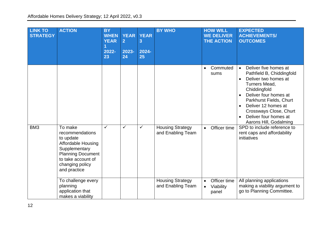| <b>LINK TO</b><br><b>STRATEGY</b> | <b>ACTION</b>                                                                                                                                                       | <b>BY</b><br><b>WHEN</b><br><b>YEAR</b><br>2022-<br>23 | <b>YEAR</b><br>$\overline{2}$<br>2023-<br>24 | <b>YEAR</b><br>3<br>2024-<br>25 | <b>BY WHO</b>                                |           | <b>HOW WILL</b><br><b>WE DELIVER</b><br><b>THE ACTION</b> | <b>EXPECTED</b><br><b>ACHIEVEMENTS/</b><br><b>OUTCOMES</b>                                                                                                                                                                                                                                                                     |
|-----------------------------------|---------------------------------------------------------------------------------------------------------------------------------------------------------------------|--------------------------------------------------------|----------------------------------------------|---------------------------------|----------------------------------------------|-----------|-----------------------------------------------------------|--------------------------------------------------------------------------------------------------------------------------------------------------------------------------------------------------------------------------------------------------------------------------------------------------------------------------------|
|                                   |                                                                                                                                                                     |                                                        |                                              |                                 |                                              | $\bullet$ | Commuted<br>sums                                          | Deliver five homes at<br>$\bullet$<br>Pathfield B, Chiddingfold<br>Deliver two homes at<br>$\bullet$<br><b>Turners Mead,</b><br>Chiddingfold<br>Deliver four homes at<br>$\bullet$<br>Parkhurst Fields, Churt<br>Deliver 12 homes at<br>$\bullet$<br>Crossways Close, Churt<br>Deliver four homes at<br>Aarons Hill, Godalming |
| BM <sub>3</sub>                   | To make<br>recommendations<br>to update<br>Affordable Housing<br>Supplementary<br><b>Planning Document</b><br>to take account of<br>changing policy<br>and practice | $\checkmark$                                           | ✓                                            | ✓                               | <b>Housing Strategy</b><br>and Enabling Team | $\bullet$ | Officer time                                              | SPD to include reference to<br>rent caps and affordability<br>initiatives                                                                                                                                                                                                                                                      |
|                                   | To challenge every<br>planning<br>application that<br>makes a viability                                                                                             |                                                        |                                              |                                 | <b>Housing Strategy</b><br>and Enabling Team | $\bullet$ | Officer time<br>Viability<br>panel                        | All planning applications<br>making a viability argument to<br>go to Planning Committee.                                                                                                                                                                                                                                       |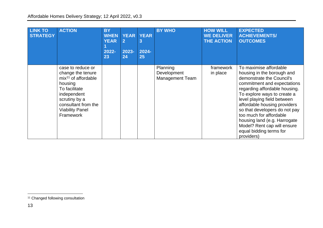| <b>LINK TO</b><br><b>STRATEGY</b> | <b>ACTION</b>                                                                                                                                                                             | <b>BY</b><br><b>WHEN</b><br><b>YEAR</b><br>2022-<br>23 | <b>YEAR</b><br>$\overline{2}$<br>2023-<br>24 | <b>YEAR</b><br>3<br>2024-<br>25 | <b>BY WHO</b>                                     | <b>HOW WILL</b><br><b>WE DELIVER</b><br><b>THE ACTION</b> | <b>EXPECTED</b><br><b>ACHIEVEMENTS/</b><br><b>OUTCOMES</b>                                                                                                                                                                                                                                                                                                                                                          |
|-----------------------------------|-------------------------------------------------------------------------------------------------------------------------------------------------------------------------------------------|--------------------------------------------------------|----------------------------------------------|---------------------------------|---------------------------------------------------|-----------------------------------------------------------|---------------------------------------------------------------------------------------------------------------------------------------------------------------------------------------------------------------------------------------------------------------------------------------------------------------------------------------------------------------------------------------------------------------------|
|                                   | case to reduce or<br>change the tenure<br>$mix11$ of affordable<br>housing<br>To facilitate<br>independent<br>scrutiny by a<br>consultant from the<br><b>Viability Panel</b><br>Framework |                                                        |                                              |                                 | Planning<br>Development<br><b>Management Team</b> | framework<br>in place                                     | To maximise affordable<br>housing in the borough and<br>demonstrate the Council's<br>commitment and expectations<br>regarding affordable housing.<br>To explore ways to create a<br>level playing field between<br>affordable housing providers<br>so that developers do not pay<br>too much for affordable<br>housing land (e.g. Harrogate<br>Model? Rent cap will ensure<br>equal bidding terms for<br>providers) |

<sup>&</sup>lt;sup>11</sup> Changed following consultation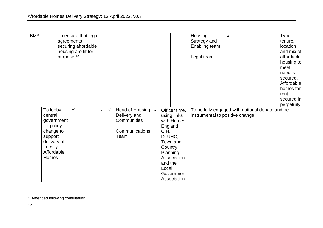| BM <sub>3</sub> |                                                                                                   | To ensure that legal<br>agreements<br>securing affordable<br>housing are fit for<br>purpose <sup>12</sup> |                                       |                                               |                                                                                                                  | Housing<br>Strategy and<br>Enabling team<br>Legal team |                                                 | Type,<br>tenure,<br>location<br>and mix of<br>affordable<br>housing to<br>meet<br>need is<br>secured.<br>Affordable |
|-----------------|---------------------------------------------------------------------------------------------------|-----------------------------------------------------------------------------------------------------------|---------------------------------------|-----------------------------------------------|------------------------------------------------------------------------------------------------------------------|--------------------------------------------------------|-------------------------------------------------|---------------------------------------------------------------------------------------------------------------------|
|                 | To lobby<br>central                                                                               | $\checkmark$                                                                                              | Head of Housing<br>Delivery and       | $\bullet$                                     | Officer time,                                                                                                    | instrumental to positive change.                       | To be fully engaged with national debate and be | homes for<br>rent<br>secured in<br>perpetuity.                                                                      |
|                 | government<br>for policy<br>change to<br>support<br>delivery of<br>Locally<br>Affordable<br>Homes |                                                                                                           | Communities<br>Communications<br>Team | CIH,<br>DLUHC,<br>Country<br>and the<br>Local | using links<br>with Homes<br>England,<br>Town and<br><b>Planning</b><br>Association<br>Government<br>Association |                                                        |                                                 |                                                                                                                     |

 $\overline{a}$ <sup>12</sup> Amended following consultation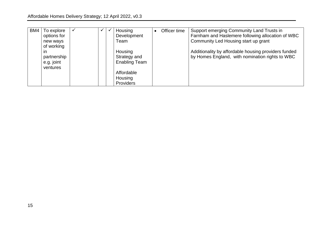| BM4 | To explore  |  | Housing              | Officer time | Support emerging Community Land Trusts in            |
|-----|-------------|--|----------------------|--------------|------------------------------------------------------|
|     | options for |  | Development          |              | Farnham and Haslemere following allocation of WBC    |
|     | new ways    |  | Team                 |              | Community Led Housing start up grant                 |
|     | of working  |  |                      |              |                                                      |
|     | in          |  | Housing              |              | Additionality by affordable housing providers funded |
|     | partnership |  | Strategy and         |              | by Homes England, with nomination rights to WBC      |
|     | e.g. joint  |  | <b>Enabling Team</b> |              |                                                      |
|     | ventures    |  |                      |              |                                                      |
|     |             |  | Affordable           |              |                                                      |
|     |             |  | Housing              |              |                                                      |
|     |             |  | <b>Providers</b>     |              |                                                      |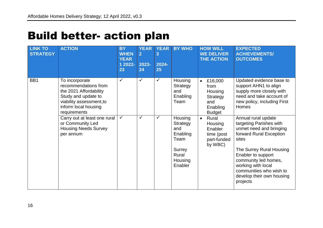# <span id="page-15-0"></span>Build better- action plan

| <b>LINK TO</b><br><b>STRATEGY</b> | <b>ACTION</b>                                                                                                                                               | <b>BY</b><br><b>WHEN</b><br><b>YEAR</b><br>1 2022-<br>23 | <b>YEAR</b><br>$\overline{2}$<br>2023-<br>24 | <b>YEAR</b><br>3<br>2024-<br>25 | <b>BY WHO</b>                                            | <b>HOW WILL</b><br><b>WE DELIVER</b><br><b>THE ACTION</b>                               | <b>EXPECTED</b><br><b>ACHIEVEMENTS/</b><br><b>OUTCOMES</b>                                                                                        |
|-----------------------------------|-------------------------------------------------------------------------------------------------------------------------------------------------------------|----------------------------------------------------------|----------------------------------------------|---------------------------------|----------------------------------------------------------|-----------------------------------------------------------------------------------------|---------------------------------------------------------------------------------------------------------------------------------------------------|
| BB1                               | To incorporate<br>recommendations from<br>the 2021 Affordability<br>Study and update to<br>viability assessment, to<br>inform local housing<br>requirements | ✓                                                        | $\checkmark$                                 | $\checkmark$                    | Housing<br>Strategy<br>and<br>Enabling<br>Team           | £16,000<br>$\bullet$<br>from<br>Housing<br>Strategy<br>and<br>Enabling<br><b>Budget</b> | Updated evidence base to<br>support AHN1 to align<br>supply more closely with<br>need and take account of<br>new policy, including First<br>Homes |
|                                   | Carry out at least one rural<br>or Community Led<br><b>Housing Needs Survey</b><br>per annum                                                                | $\checkmark$                                             | $\checkmark$                                 | $\checkmark$                    | Housing<br>Strategy<br>and<br>Enabling<br>Team<br>Surrey | Rural<br>$\bullet$<br>Housing<br>Enabler<br>time (post<br>part-funded<br>by WBC)        | Annual rural update<br>targeting Parishes with<br>unmet need and bringing<br>forward Rural Exception<br>sites<br>The Surrey Rural Housing         |
|                                   |                                                                                                                                                             |                                                          |                                              |                                 | Rural<br>Housing<br>Enabler                              |                                                                                         | Enabler to support<br>community led homes,<br>working with local<br>communities who wish to<br>develop their own housing<br>projects              |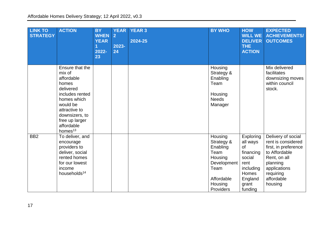| <b>LINK TO</b><br><b>STRATEGY</b> | <b>ACTION</b>                                                                                                                                                                                | <b>BY</b><br><b>WHEN</b><br><b>YEAR</b><br>2022-<br>23 | <b>YEAR</b><br>$\overline{2}$<br>2023-<br>24 | <b>YEAR 3</b><br>2024-25 | <b>BY WHO</b>                                                                                                     | <b>HOW</b><br><b>WILL WE</b><br><b>DELIVER</b><br>THE<br><b>ACTION</b>                                          | <b>EXPECTED</b><br><b>ACHIEVEMENTS/</b><br><b>OUTCOMES</b>                                                                                                          |
|-----------------------------------|----------------------------------------------------------------------------------------------------------------------------------------------------------------------------------------------|--------------------------------------------------------|----------------------------------------------|--------------------------|-------------------------------------------------------------------------------------------------------------------|-----------------------------------------------------------------------------------------------------------------|---------------------------------------------------------------------------------------------------------------------------------------------------------------------|
|                                   | Ensure that the<br>mix of<br>affordable<br>homes<br>delivered<br>includes rented<br>homes which<br>would be<br>attractive to<br>downsizers, to<br>free up larger<br>affordable<br>homes $13$ |                                                        |                                              |                          | Housing<br>Strategy &<br>Enabling<br>Team<br>Housing<br><b>Needs</b><br>Manager                                   |                                                                                                                 | Mix delivered<br>facilitates<br>downsizing moves<br>within council<br>stock.                                                                                        |
| BB <sub>2</sub>                   | To deliver, and<br>encourage<br>providers to<br>deliver, social<br>rented homes<br>for our lowest<br>income<br>households <sup>14</sup>                                                      |                                                        |                                              |                          | Housing<br>Strategy &<br>Enabling<br>Team<br>Housing<br>Development<br>Team<br>Affordable<br>Housing<br>Providers | Exploring<br>all ways<br>0f<br>financing<br>social<br>rent<br>including<br>Homes<br>England<br>grant<br>funding | Delivery of social<br>rent is considered<br>first, in preference<br>to Affordable<br>Rent, on all<br>planning<br>applications<br>requiring<br>affordable<br>housing |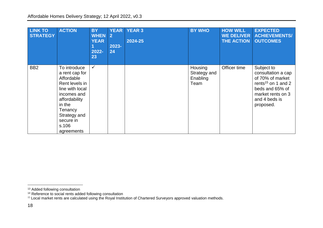| <b>LINK TO</b><br><b>STRATEGY</b> | <b>ACTION</b>                                                                                                                                                                              | <b>BY</b><br><b>WHEN</b><br><b>YEAR</b><br>2022-<br>23 | <b>YEAR</b><br>$\vert 2 \vert$<br>$2023 -$<br>24 | <b>YEAR 3</b><br>2024-25 | <b>BY WHO</b>                               | <b>HOW WILL</b><br><b>WE DELIVER</b><br><b>THE ACTION</b> | <b>EXPECTED</b><br><b>ACHIEVEMENTS/</b><br><b>OUTCOMES</b>                                                                                                   |
|-----------------------------------|--------------------------------------------------------------------------------------------------------------------------------------------------------------------------------------------|--------------------------------------------------------|--------------------------------------------------|--------------------------|---------------------------------------------|-----------------------------------------------------------|--------------------------------------------------------------------------------------------------------------------------------------------------------------|
| BB <sub>2</sub>                   | To introduce<br>a rent cap for<br>Affordable<br>Rent levels in<br>line with local<br>incomes and<br>affordability<br>in the<br>Tenancy<br>Strategy and<br>secure in<br>s.106<br>agreements | $\checkmark$                                           |                                                  |                          | Housing<br>Strategy and<br>Enabling<br>Team | Officer time                                              | Subject to<br>consultation a cap<br>of 70% of market<br>rents <sup>15</sup> on 1 and 2<br>beds and 65% of<br>market rents on 3<br>and 4 beds is<br>proposed. |

<sup>&</sup>lt;sup>13</sup> Added following consultation

<sup>&</sup>lt;sup>14</sup> Reference to social rents added following consultation

<sup>&</sup>lt;sup>15</sup> Local market rents are calculated using the Royal Institution of Chartered Surveyors approved valuation methods.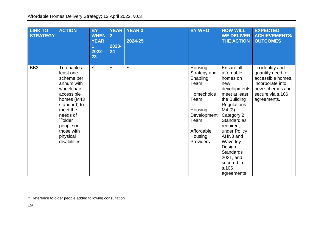| <b>LINK TO</b><br><b>STRATEGY</b> | <b>ACTION</b>                                                                                                                                                                                                         | <b>BY</b><br><b>WHEN</b><br><b>YEAR</b><br>2022-<br>23 | <b>YEAR</b><br>$\overline{2}$<br>2023-<br>24 | <b>YEAR 3</b><br>2024-25 | <b>BY WHO</b>                                                                                                                             | <b>HOW WILL</b><br><b>WE DELIVER</b><br><b>THE ACTION</b>                                                                                                                                                                                                                                     | <b>EXPECTED</b><br><b>ACHIEVEMENTS/</b><br><b>OUTCOMES</b>                                                                          |
|-----------------------------------|-----------------------------------------------------------------------------------------------------------------------------------------------------------------------------------------------------------------------|--------------------------------------------------------|----------------------------------------------|--------------------------|-------------------------------------------------------------------------------------------------------------------------------------------|-----------------------------------------------------------------------------------------------------------------------------------------------------------------------------------------------------------------------------------------------------------------------------------------------|-------------------------------------------------------------------------------------------------------------------------------------|
| BB <sub>3</sub>                   | To enable at<br>least one<br>scheme per<br>annum with<br>wheelchair<br>accessible<br>homes (M43<br>standard) to<br>meet the<br>needs of<br><sup>16</sup> older<br>people or<br>those with<br>physical<br>disabilities | $\checkmark$                                           | ✓                                            | ✓                        | Housing<br>Strategy and<br>Enabling<br>Team<br>Homechoice<br>Team<br>Housing<br>Development<br>Team<br>Affordable<br>Housing<br>Providers | Ensure all<br>affordable<br>homes on<br>new<br>developments<br>meet at least<br>the Building<br><b>Regulations</b><br>M4(2)<br>Category 2<br>Standard as<br>required,<br>under Policy<br>AHN3 and<br>Waverley<br>Design<br><b>Standards</b><br>2021, and<br>secured in<br>s.106<br>agreements | To identify and<br>quantify need for<br>accessible homes,<br>incorporate into<br>new schemes and<br>secure via s.106<br>agreements. |

<sup>&</sup>lt;sup>16</sup> Reference to older people added following consultation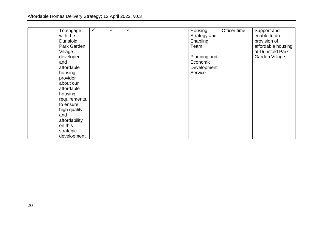| To engage       | ✓ | V | ✓ | Housing      | Officer time | Support and        |
|-----------------|---|---|---|--------------|--------------|--------------------|
| with the        |   |   |   | Strategy and |              | enable future      |
| <b>Dunsfold</b> |   |   |   | Enabling     |              | provision of       |
| Park Garden     |   |   |   | Team         |              | affordable housing |
| Village         |   |   |   |              |              | at Dunsfold Park   |
| developer       |   |   |   | Planning and |              | Garden Village.    |
| and             |   |   |   | Economic     |              |                    |
| affordable      |   |   |   | Development  |              |                    |
| housing         |   |   |   | Service      |              |                    |
| provider        |   |   |   |              |              |                    |
| about our       |   |   |   |              |              |                    |
| affordable      |   |   |   |              |              |                    |
| housing         |   |   |   |              |              |                    |
| requirements,   |   |   |   |              |              |                    |
| to ensure       |   |   |   |              |              |                    |
| high quality    |   |   |   |              |              |                    |
| and             |   |   |   |              |              |                    |
| affordability   |   |   |   |              |              |                    |
| on this         |   |   |   |              |              |                    |
| strategic       |   |   |   |              |              |                    |
| development.    |   |   |   |              |              |                    |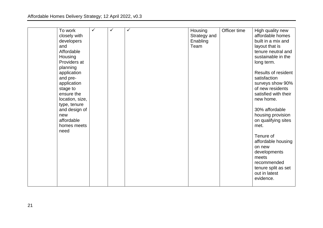| To work<br>closely with<br>developers<br>and<br>Affordable<br>Housing<br>Providers at<br>planning<br>application<br>and pre-<br>application<br>stage to<br>ensure the<br>location, size,<br>type, tenure<br>and design of<br>new<br>affordable<br>homes meets<br>need | $\checkmark$ | ✓ | $\checkmark$ | Housing<br>Strategy and<br>Enabling<br>Team | Officer time | High quality new<br>affordable homes<br>built in a mix and<br>layout that is<br>tenure neutral and<br>sustainable in the<br>long term.<br>Results of resident<br>satisfaction<br>surveys show 90%<br>of new residents<br>satisfied with their<br>new home.<br>30% affordable<br>housing provision<br>on qualifying sites<br>met.<br>Tenure of<br>affordable housing<br>on new<br>developments<br>meets<br>recommended<br>tenure split as set |
|-----------------------------------------------------------------------------------------------------------------------------------------------------------------------------------------------------------------------------------------------------------------------|--------------|---|--------------|---------------------------------------------|--------------|----------------------------------------------------------------------------------------------------------------------------------------------------------------------------------------------------------------------------------------------------------------------------------------------------------------------------------------------------------------------------------------------------------------------------------------------|
|                                                                                                                                                                                                                                                                       |              |   |              |                                             |              | out in latest<br>evidence.                                                                                                                                                                                                                                                                                                                                                                                                                   |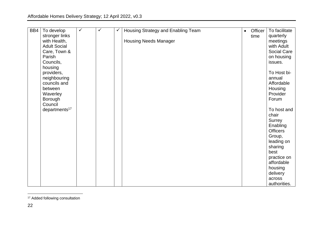| BB4 | To develop                | $\checkmark$ | $\checkmark$ | ✓ | Housing Strategy and Enabling Team | $\bullet$ | Officer | To facilitate             |
|-----|---------------------------|--------------|--------------|---|------------------------------------|-----------|---------|---------------------------|
|     | stronger links            |              |              |   |                                    |           | time    | quarterly                 |
|     | with Health,              |              |              |   | <b>Housing Needs Manager</b>       |           |         | meetings                  |
|     | <b>Adult Social</b>       |              |              |   |                                    |           |         | with Adult                |
|     | Care, Town &              |              |              |   |                                    |           |         | <b>Social Care</b>        |
|     | Parish                    |              |              |   |                                    |           |         | on housing                |
|     | Councils,                 |              |              |   |                                    |           |         | issues.                   |
|     | housing                   |              |              |   |                                    |           |         |                           |
|     | providers,                |              |              |   |                                    |           |         | To Host bi-               |
|     | neighbouring              |              |              |   |                                    |           |         | annual                    |
|     | councils and              |              |              |   |                                    |           |         | Affordable                |
|     | between                   |              |              |   |                                    |           |         | Housing                   |
|     | Waverley                  |              |              |   |                                    |           |         | Provider                  |
|     | Borough                   |              |              |   |                                    |           |         | Forum                     |
|     | Council                   |              |              |   |                                    |           |         |                           |
|     | departments <sup>17</sup> |              |              |   |                                    |           |         | To host and               |
|     |                           |              |              |   |                                    |           |         | chair                     |
|     |                           |              |              |   |                                    |           |         | Surrey                    |
|     |                           |              |              |   |                                    |           |         | Enabling                  |
|     |                           |              |              |   |                                    |           |         | <b>Officers</b>           |
|     |                           |              |              |   |                                    |           |         | Group,                    |
|     |                           |              |              |   |                                    |           |         | leading on                |
|     |                           |              |              |   |                                    |           |         | sharing                   |
|     |                           |              |              |   |                                    |           |         | best                      |
|     |                           |              |              |   |                                    |           |         | practice on<br>affordable |
|     |                           |              |              |   |                                    |           |         | housing                   |
|     |                           |              |              |   |                                    |           |         | delivery                  |
|     |                           |              |              |   |                                    |           |         | across                    |
|     |                           |              |              |   |                                    |           |         | authorities.              |

<sup>&</sup>lt;sup>17</sup> Added following consultation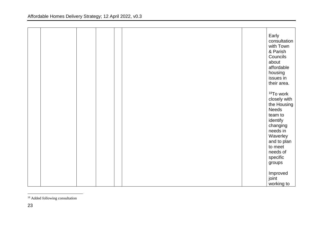|  |  |  | Early<br>consultation<br>with Town<br>& Parish<br>Councils<br>about<br>affordable<br>housing<br>issues in<br>their area.                                                             |
|--|--|--|--------------------------------------------------------------------------------------------------------------------------------------------------------------------------------------|
|  |  |  | <sup>18</sup> To work<br>closely with<br>the Housing<br>Needs<br>team to<br>identify<br>changing<br>needs in<br>Waverley<br>and to plan<br>to meet<br>needs of<br>specific<br>groups |
|  |  |  | Improved<br>joint<br>working to                                                                                                                                                      |

<sup>&</sup>lt;sup>18</sup> Added following consultation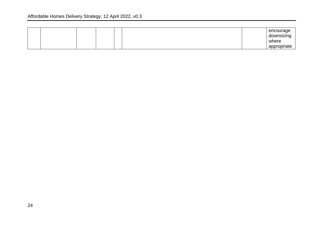|  |  |  | encourage<br>downsizing |
|--|--|--|-------------------------|
|  |  |  | ັ<br>where              |
|  |  |  | appropriate             |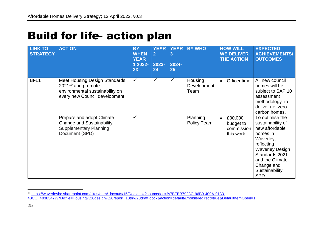# <span id="page-24-0"></span>Build for life- action plan

| <b>LINK TO</b><br><b>STRATEGY</b> | <b>ACTION</b>                                                                                                                       | <b>BY</b><br><b>WHEN</b><br><b>YEAR</b><br>1 2022-<br>23 | <b>YEAR</b><br>$\overline{2}$<br>2023-<br>24 | <b>YEAR</b><br>3<br>2024-<br>25 | <b>BY WHO</b>                  | <b>HOW WILL</b><br><b>WE DELIVER</b><br><b>THE ACTION</b>    | <b>EXPECTED</b><br><b>ACHIEVEMENTS/</b><br><b>OUTCOMES</b>                                                                                                                                           |
|-----------------------------------|-------------------------------------------------------------------------------------------------------------------------------------|----------------------------------------------------------|----------------------------------------------|---------------------------------|--------------------------------|--------------------------------------------------------------|------------------------------------------------------------------------------------------------------------------------------------------------------------------------------------------------------|
| BFL1                              | <b>Meet Housing Design Standards</b><br>$2021^{19}$ and promote<br>environmental sustainability on<br>every new Council development | $\checkmark$                                             | $\checkmark$                                 | $\checkmark$                    | Housing<br>Development<br>Team | Officer time                                                 | All new council<br>homes will be<br>subject to SAP 10<br>assessment<br>methodology to<br>deliver net zero<br>carbon homes.                                                                           |
|                                   | Prepare and adopt Climate<br><b>Change and Sustainability</b><br><b>Supplementary Planning</b><br>Document (SPD)                    | ✓                                                        |                                              |                                 | Planning<br>Policy Team        | £30,000<br>$\bullet$<br>budget to<br>commission<br>this work | To optimise the<br>sustainability of<br>new affordable<br>homes in<br>Waverley,<br>reflecting<br><b>Waverley Design</b><br>Standards 2021<br>and the Climate<br>Change and<br>Sustainability<br>SPD. |

<sup>19</sup> [https://waverleybc.sharepoint.com/sites/dem/\\_layouts/15/Doc.aspx?sourcedoc=%7BFBB7923C-96B0-409A-9133-](https://waverleybc.sharepoint.com/sites/dem/_layouts/15/Doc.aspx?sourcedoc=%7BFBB7923C-96B0-409A-9133-48CCF4838347%7D&file=Housing%20design%20report_13th%20draft.docx&action=default&mobileredirect=true&DefaultItemOpen=1) [48CCF4838347%7D&file=Housing%20design%20report\\_13th%20draft.docx&action=default&mobileredirect=true&DefaultItemOpen=1](https://waverleybc.sharepoint.com/sites/dem/_layouts/15/Doc.aspx?sourcedoc=%7BFBB7923C-96B0-409A-9133-48CCF4838347%7D&file=Housing%20design%20report_13th%20draft.docx&action=default&mobileredirect=true&DefaultItemOpen=1)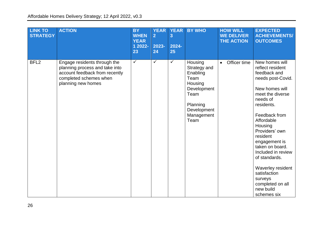| <b>LINK TO</b><br><b>STRATEGY</b> | <b>ACTION</b>                                                                                                                                    | <b>BY</b><br><b>WHEN</b><br><b>YEAR</b><br>1 2022-<br>23 | <b>YEAR</b><br>$\overline{2}$<br>2023-<br>24 | <b>YEAR</b><br>3<br>2024-<br>25 | <b>BY WHO</b>                                                                                                                  | <b>HOW WILL</b><br><b>WE DELIVER</b><br><b>THE ACTION</b> | <b>EXPECTED</b><br><b>ACHIEVEMENTS/</b><br><b>OUTCOMES</b>                                                                                                                                                                                                                                                                                                                                 |
|-----------------------------------|--------------------------------------------------------------------------------------------------------------------------------------------------|----------------------------------------------------------|----------------------------------------------|---------------------------------|--------------------------------------------------------------------------------------------------------------------------------|-----------------------------------------------------------|--------------------------------------------------------------------------------------------------------------------------------------------------------------------------------------------------------------------------------------------------------------------------------------------------------------------------------------------------------------------------------------------|
| BFL <sub>2</sub>                  | Engage residents through the<br>planning process and take into<br>account feedback from recently<br>completed schemes when<br>planning new homes | $\checkmark$                                             | $\checkmark$                                 | $\checkmark$                    | Housing<br>Strategy and<br>Enabling<br>Team<br>Housing<br>Development<br>Team<br>Planning<br>Development<br>Management<br>Team | Officer time                                              | New homes will<br>reflect resident<br>feedback and<br>needs post-Covid.<br>New homes will<br>meet the diverse<br>needs of<br>residents.<br>Feedback from<br>Affordable<br>Housing<br>Providers' own<br>resident<br>engagement is<br>taken on board.<br>Included in review<br>of standards.<br>Waverley resident<br>satisfaction<br>surveys<br>completed on all<br>new build<br>schemes six |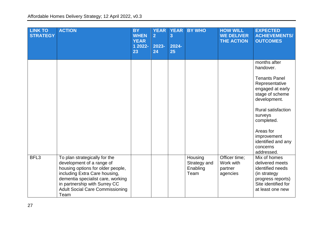| <b>LINK TO</b><br><b>STRATEGY</b> | <b>ACTION</b>                                                                                                                                                                                                                                            | <b>BY</b><br><b>WHEN</b><br><b>YEAR</b><br>1 2022-<br>23 | <b>YEAR</b><br>$\overline{2}$<br>2023-<br>24 | <b>YEAR</b><br>$\overline{\mathbf{3}}$<br>$2024 -$<br>25 | <b>BY WHO</b>                               | <b>HOW WILL</b><br><b>WE DELIVER</b><br><b>THE ACTION</b> | <b>EXPECTED</b><br><b>ACHIEVEMENTS/</b><br><b>OUTCOMES</b>                                                                                                                                                                                                   |
|-----------------------------------|----------------------------------------------------------------------------------------------------------------------------------------------------------------------------------------------------------------------------------------------------------|----------------------------------------------------------|----------------------------------------------|----------------------------------------------------------|---------------------------------------------|-----------------------------------------------------------|--------------------------------------------------------------------------------------------------------------------------------------------------------------------------------------------------------------------------------------------------------------|
|                                   |                                                                                                                                                                                                                                                          |                                                          |                                              |                                                          |                                             |                                                           | months after<br>handover.<br><b>Tenants Panel</b><br>Representative<br>engaged at early<br>stage of scheme<br>development.<br><b>Rural satisfaction</b><br>surveys<br>completed.<br>Areas for<br>improvement<br>identified and any<br>concerns<br>addressed. |
| BFL <sub>3</sub>                  | To plan strategically for the<br>development of a range of<br>housing options for older people,<br>including Extra Care housing,<br>dementia specialist care, working<br>in partnership with Surrey CC<br><b>Adult Social Care Commissioning</b><br>Team |                                                          |                                              |                                                          | Housing<br>Strategy and<br>Enabling<br>Team | Officer time;<br>Work with<br>partner<br>agencies         | Mix of homes<br>delivered meets<br>identified needs<br>(in strategy<br>progress reports)<br>Site identified for<br>at least one new                                                                                                                          |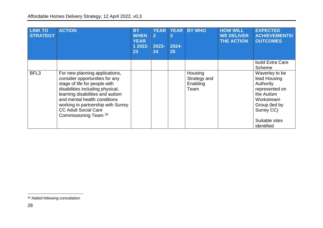| <b>LINK TO</b><br><b>STRATEGY</b> | <b>ACTION</b>                                                                                                                                                                                                                                                                                                      | <b>BY</b><br><b>WHEN</b><br><b>YEAR</b><br>1 2022-<br>23 | <b>YEAR</b><br>$\overline{2}$<br>2023-<br>24 | <b>YEAR</b><br>$\overline{3}$<br>2024-<br>25 | <b>BY WHO</b>                               | <b>HOW WILL</b><br><b>WE DELIVER</b><br><b>THE ACTION</b> | <b>EXPECTED</b><br><b>ACHIEVEMENTS/</b><br><b>OUTCOMES</b>                                                                                               |
|-----------------------------------|--------------------------------------------------------------------------------------------------------------------------------------------------------------------------------------------------------------------------------------------------------------------------------------------------------------------|----------------------------------------------------------|----------------------------------------------|----------------------------------------------|---------------------------------------------|-----------------------------------------------------------|----------------------------------------------------------------------------------------------------------------------------------------------------------|
|                                   |                                                                                                                                                                                                                                                                                                                    |                                                          |                                              |                                              |                                             |                                                           | build Extra Care<br>Scheme                                                                                                                               |
| BFL3                              | For new planning applications,<br>consider opportunities for any<br>stage of life for people with<br>disabilities including physical,<br>learning disabilities and autism<br>and mental health conditions<br>working in partnership with Surrey<br><b>CC Adult Social Care</b><br>Commissioning Team <sup>20</sup> |                                                          |                                              |                                              | Housing<br>Strategy and<br>Enabling<br>Team |                                                           | Waverley to be<br>lead Housing<br>Authority<br>represented on<br>the Autism<br>Workstream<br>Group (led by<br>Surrey CC)<br>Suitable sites<br>identified |

<sup>&</sup>lt;sup>20</sup> Added following consultation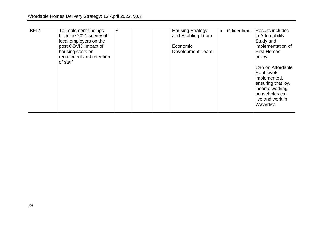| BFL4 | To implement findings<br>from the 2021 survey of<br>local employers on the<br>post COVID impact of<br>housing costs on<br>recruitment and retention<br>of staff | $\checkmark$ |  | <b>Housing Strategy</b><br>and Enabling Team<br>Economic<br><b>Development Team</b> | Officer time | Results included<br>in Affordability<br>Study and<br>implementation of<br><b>First Homes</b><br>policy.<br>Cap on Affordable<br><b>Rent levels</b><br>implemented,<br>ensuring that low<br>income working<br>households can<br>live and work in |
|------|-----------------------------------------------------------------------------------------------------------------------------------------------------------------|--------------|--|-------------------------------------------------------------------------------------|--------------|-------------------------------------------------------------------------------------------------------------------------------------------------------------------------------------------------------------------------------------------------|
|      |                                                                                                                                                                 |              |  |                                                                                     |              | Waverley.                                                                                                                                                                                                                                       |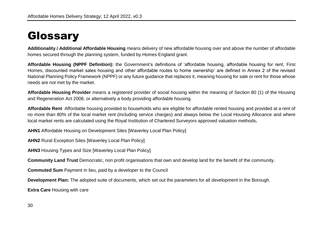# <span id="page-29-0"></span>**Glossary**

**Additionality / Additional Affordable Housing** means delivery of new affordable housing over and above the number of affordable homes secured through the planning system, funded by Homes England grant.

**Affordable Housing (NPPF Definition):** the Government's definitions of 'affordable housing, affordable housing for rent, First Homes, discounted market sales housing and other affordable routes to home ownership' are defined in Annex 2 of the revised National Planning Policy Framework (NPPF) or any future guidance that replaces it, meaning housing for sale or rent for those whose needs are not met by the market.

**Affordable Housing Provider** means a registered provider of social housing within the meaning of Section 80 (1) of the Housing and Regeneration Act 2008, or alternatively a body providing affordable housing.

**Affordable Rent** Affordable housing provided to households who are eligible for affordable rented housing and provided at a rent of no more than 80% of the local market rent (including service charges) and always below the Local Housing Allocance and where local market rents are calculated using the Royal Institution of Chartered Surveyors approved valuation methods**.**

**AHN1** Affordable Housing on Development Sites [Waverley Local Plan Policy]

**AHN2** Rural Exception Sites [Waverley Local Plan Policy]

**AHN3** Housing Types and Size [Waverley Local Plan Policy]

**Community Land Trust** Democratic, non profit organisations that own and develop land for the benefit of the community.

**Commuted Sum** Payment in lieu, paid by a developer to the Council

**Development Plan:** The adopted suite of documents, which set out the parameters for all development in the Borough.

**Extra Care** Housing with care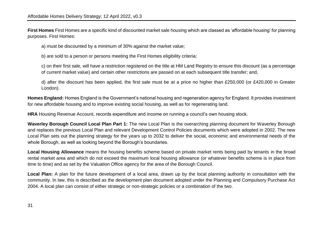**First Homes** First Homes are a specific kind of discounted market sale housing which are classed as 'affordable housing' for planning purposes. First Homes:

a) must be discounted by a minimum of 30% against the market value;

b) are sold to a person or persons meeting the First Homes eligibility criteria;

c) on their first sale, will have a restriction registered on the title at HM Land Registry to ensure this discount (as a percentage of current market value) and certain other restrictions are passed on at each subsequent title transfer; and,

d) after the discount has been applied, the first sale must be at a price no higher than £250,000 (or £420,000 in Greater London).

**[Homes England:](https://www.gov.uk/government/organisations/homes-england)** Homes England is the Government's national housing and regeneration agency for England. It provides investment for new affordable housing and to improve existing social housing, as well as for regenerating land.

**HRA** Housing Revenue Account, records expenditure and income on running a council's own housing stock.

**Waverley Borough Council Local Plan Part 1:** The new Local Plan is the overarching planning document for Waverley Borough and replaces the previous Local Plan and relevant Development Control Policies documents which were adopted in 2002. The new Local Plan sets out the planning strategy for the years up to 2032 to deliver the social, economic and environmental needs of the whole Borough, as well as looking beyond the Borough's boundaries.

**Local Housing Allowance** means the housing benefits scheme based on private market rents being paid by tenants in the broad rental market area and which do not exceed the maximum local housing allowance (or whatever benefits scheme is in place from time to time) and as set by the Valuation Office agency for the area of the Borough Council.

**Local Plan:** A plan for the future development of a local area, drawn up by the local planning authority in consultation with the community. In law, this is described as the development plan document adopted under the Planning and Compulsory Purchase Act 2004. A local plan can consist of either strategic or non-strategic policies or a combination of the two.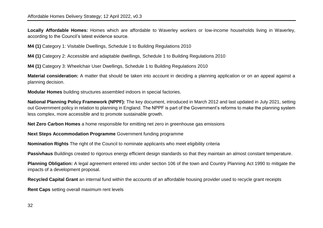**Locally Affordable Homes:** Homes which are affordable to Waverley workers or low-income households living in Waverley, according to the Council's latest evidence source.

**M4 (1)** Category 1: Visitable Dwellings, Schedule 1 to Building Regulations 2010

**M4 (1)** Category 2: Accessible and adaptable dwellings, Schedule 1 to Building Regulations 2010

**M4 (1)** Category 3: Wheelchair User Dwellings, Schedule 1 to Building Regulations 2010

**Material consideration:** A matter that should be taken into account in deciding a planning application or on an appeal against a planning decision.

**Modular Homes** building structures assembled indoors in special factories.

**National Planning Policy Framework (NPPF):** The key document, introduced in March 2012 and last updated in July 2021, setting out Government policy in relation to planning in England. The NPPF is part of the Government's reforms to make the planning system less complex, more accessible and to promote sustainable growth.

**Net Zero Carbon Homes** a home responsible for emitting net zero in greenhouse gas emissions

**Next Steps Accommodation Programme** Government funding programme

**Nomination Rights** The right of the Council to nominate applicants who meet eligibility criteria

**Passivhaus** Buildings created to rigorous energy efficient design standards so that they maintain an almost constant temperature.

**Planning Obligation:** A legal agreement entered into under section 106 of the town and Country Planning Act 1990 to mitigate the impacts of a development proposal.

**Recycled Capital Grant** an internal fund within the accounts of an affordable housing provider used to recycle grant receipts

**Rent Caps** setting overall maximum rent levels